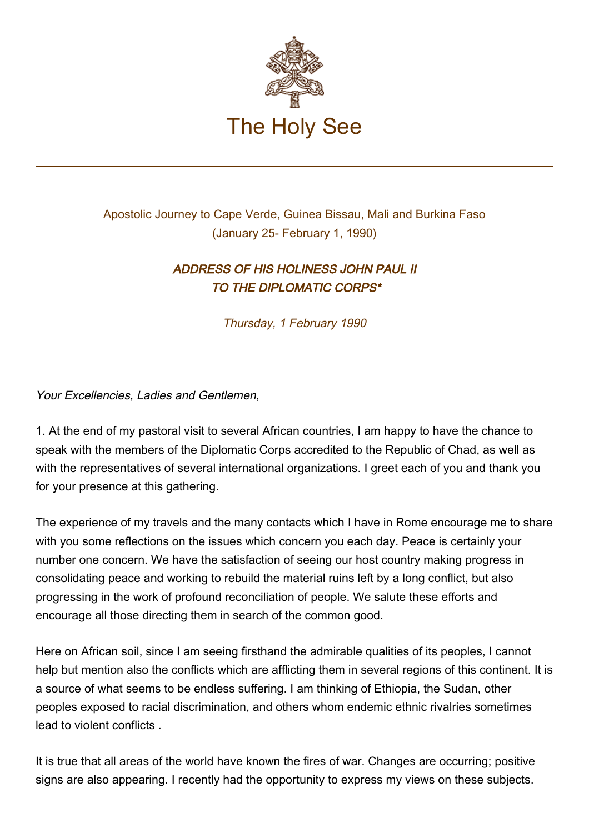

## Apostolic Journey to Cape Verde, Guinea Bissau, Mali and Burkina Faso (January 25- February 1, 1990)

## ADDRESS OF HIS HOLINESS JOHN PAUL II TO THE DIPLOMATIC CORPS\*

Thursday, 1 February 1990

Your Excellencies, Ladies and Gentlemen,

1. At the end of my pastoral visit to several African countries, I am happy to have the chance to speak with the members of the Diplomatic Corps accredited to the Republic of Chad, as well as with the representatives of several international organizations. I greet each of you and thank you for your presence at this gathering.

The experience of my travels and the many contacts which I have in Rome encourage me to share with you some reflections on the issues which concern you each day. Peace is certainly your number one concern. We have the satisfaction of seeing our host country making progress in consolidating peace and working to rebuild the material ruins left by a long conflict, but also progressing in the work of profound reconciliation of people. We salute these efforts and encourage all those directing them in search of the common good.

Here on African soil, since I am seeing firsthand the admirable qualities of its peoples, I cannot help but mention also the conflicts which are afflicting them in several regions of this continent. It is a source of what seems to be endless suffering. I am thinking of Ethiopia, the Sudan, other peoples exposed to racial discrimination, and others whom endemic ethnic rivalries sometimes lead to violent conflicts .

It is true that all areas of the world have known the fires of war. Changes are occurring; positive signs are also appearing. I recently had the opportunity to express my views on these subjects.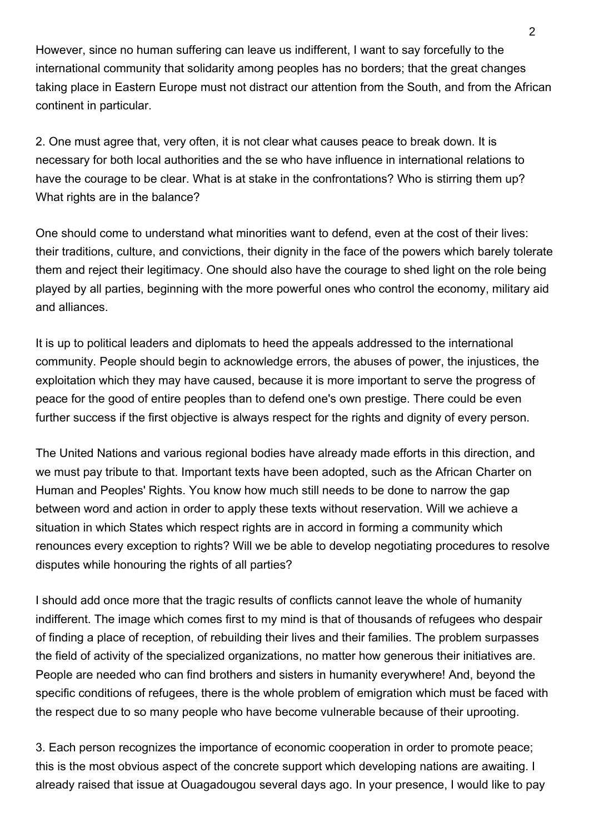However, since no human suffering can leave us indifferent, I want to say forcefully to the international community that solidarity among peoples has no borders; that the great changes taking place in Eastern Europe must not distract our attention from the South, and from the African continent in particular.

2. One must agree that, very often, it is not clear what causes peace to break down. It is necessary for both local authorities and the se who have influence in international relations to have the courage to be clear. What is at stake in the confrontations? Who is stirring them up? What rights are in the balance?

One should come to understand what minorities want to defend, even at the cost of their lives: their traditions, culture, and convictions, their dignity in the face of the powers which barely tolerate them and reject their legitimacy. One should also have the courage to shed light on the role being played by all parties, beginning with the more powerful ones who control the economy, military aid and alliances.

It is up to political leaders and diplomats to heed the appeals addressed to the international community. People should begin to acknowledge errors, the abuses of power, the injustices, the exploitation which they may have caused, because it is more important to serve the progress of peace for the good of entire peoples than to defend one's own prestige. There could be even further success if the first objective is always respect for the rights and dignity of every person.

The United Nations and various regional bodies have already made efforts in this direction, and we must pay tribute to that. Important texts have been adopted, such as the African Charter on Human and Peoples' Rights. You know how much still needs to be done to narrow the gap between word and action in order to apply these texts without reservation. Will we achieve a situation in which States which respect rights are in accord in forming a community which renounces every exception to rights? Will we be able to develop negotiating procedures to resolve disputes while honouring the rights of all parties?

I should add once more that the tragic results of conflicts cannot leave the whole of humanity indifferent. The image which comes first to my mind is that of thousands of refugees who despair of finding a place of reception, of rebuilding their lives and their families. The problem surpasses the field of activity of the specialized organizations, no matter how generous their initiatives are. People are needed who can find brothers and sisters in humanity everywhere! And, beyond the specific conditions of refugees, there is the whole problem of emigration which must be faced with the respect due to so many people who have become vulnerable because of their uprooting.

3. Each person recognizes the importance of economic cooperation in order to promote peace; this is the most obvious aspect of the concrete support which developing nations are awaiting. I already raised that issue at Ouagadougou several days ago. In your presence, I would like to pay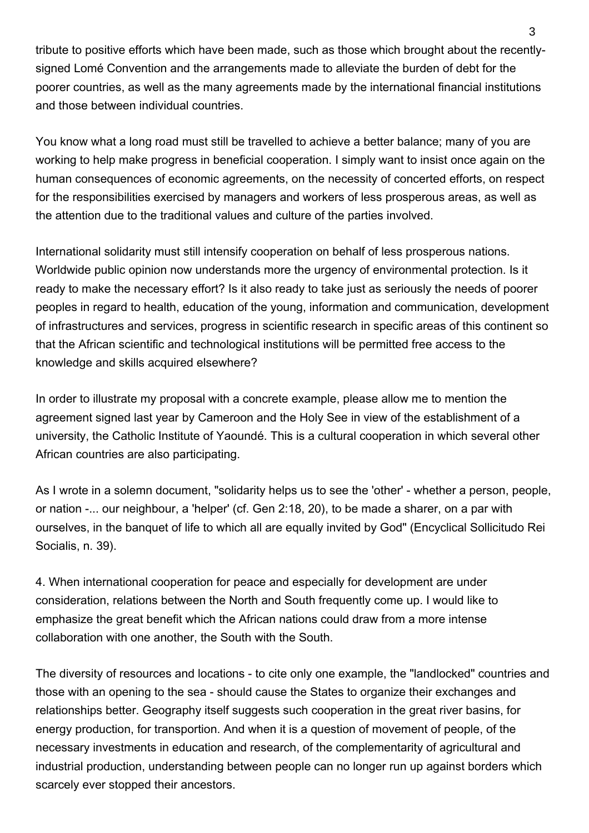tribute to positive efforts which have been made, such as those which brought about the recentlysigned Lomé Convention and the arrangements made to alleviate the burden of debt for the poorer countries, as well as the many agreements made by the international financial institutions and those between individual countries.

You know what a long road must still be travelled to achieve a better balance; many of you are working to help make progress in beneficial cooperation. I simply want to insist once again on the human consequences of economic agreements, on the necessity of concerted efforts, on respect for the responsibilities exercised by managers and workers of less prosperous areas, as well as the attention due to the traditional values and culture of the parties involved.

International solidarity must still intensify cooperation on behalf of less prosperous nations. Worldwide public opinion now understands more the urgency of environmental protection. Is it ready to make the necessary effort? Is it also ready to take just as seriously the needs of poorer peoples in regard to health, education of the young, information and communication, development of infrastructures and services, progress in scientific research in specific areas of this continent so that the African scientific and technological institutions will be permitted free access to the knowledge and skills acquired elsewhere?

In order to illustrate my proposal with a concrete example, please allow me to mention the agreement signed last year by Cameroon and the Holy See in view of the establishment of a university, the Catholic Institute of Yaoundé. This is a cultural cooperation in which several other African countries are also participating.

As I wrote in a solemn document, "solidarity helps us to see the 'other' - whether a person, people, or nation -... our neighbour, a 'helper' (cf. Gen 2:18, 20), to be made a sharer, on a par with ourselves, in the banquet of life to which all are equally invited by God" (Encyclical Sollicitudo Rei Socialis, n. 39).

4. When international cooperation for peace and especially for development are under consideration, relations between the North and South frequently come up. I would like to emphasize the great benefit which the African nations could draw from a more intense collaboration with one another, the South with the South.

The diversity of resources and locations - to cite only one example, the "landlocked" countries and those with an opening to the sea - should cause the States to organize their exchanges and relationships better. Geography itself suggests such cooperation in the great river basins, for energy production, for transportion. And when it is a question of movement of people, of the necessary investments in education and research, of the complementarity of agricultural and industrial production, understanding between people can no longer run up against borders which scarcely ever stopped their ancestors.